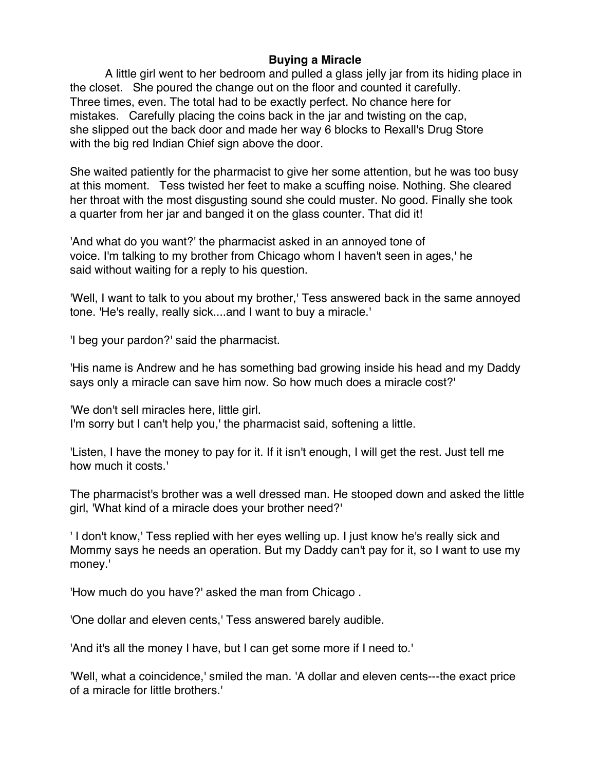## **Buying a Miracle**

A little girl went to her bedroom and pulled a glass jelly jar from its hiding place in the closet. She poured the change out on the floor and counted it carefully. Three times, even. The total had to be exactly perfect. No chance here for mistakes. Carefully placing the coins back in the jar and twisting on the cap, she slipped out the back door and made her way 6 blocks to Rexall's Drug Store with the big red Indian Chief sign above the door.

She waited patiently for the pharmacist to give her some attention, but he was too busy at this moment. Tess twisted her feet to make a scuffing noise. Nothing. She cleared her throat with the most disgusting sound she could muster. No good. Finally she took a quarter from her jar and banged it on the glass counter. That did it!

'And what do you want?' the pharmacist asked in an annoyed tone of voice. I'm talking to my brother from Chicago whom I haven't seen in ages,' he said without waiting for a reply to his question.

'Well, I want to talk to you about my brother,' Tess answered back in the same annoyed tone. 'He's really, really sick....and I want to buy a miracle.'

'I beg your pardon?' said the pharmacist.

'His name is Andrew and he has something bad growing inside his head and my Daddy says only a miracle can save him now. So how much does a miracle cost?'

'We don't sell miracles here, little girl. I'm sorry but I can't help you,' the pharmacist said, softening a little.

'Listen, I have the money to pay for it. If it isn't enough, I will get the rest. Just tell me how much it costs.'

The pharmacist's brother was a well dressed man. He stooped down and asked the little girl, 'What kind of a miracle does your brother need?'

' I don't know,' Tess replied with her eyes welling up. I just know he's really sick and Mommy says he needs an operation. But my Daddy can't pay for it, so I want to use my money.'

'How much do you have?' asked the man from Chicago .

'One dollar and eleven cents,' Tess answered barely audible.

'And it's all the money I have, but I can get some more if I need to.'

'Well, what a coincidence,' smiled the man. 'A dollar and eleven cents---the exact price of a miracle for little brothers.'